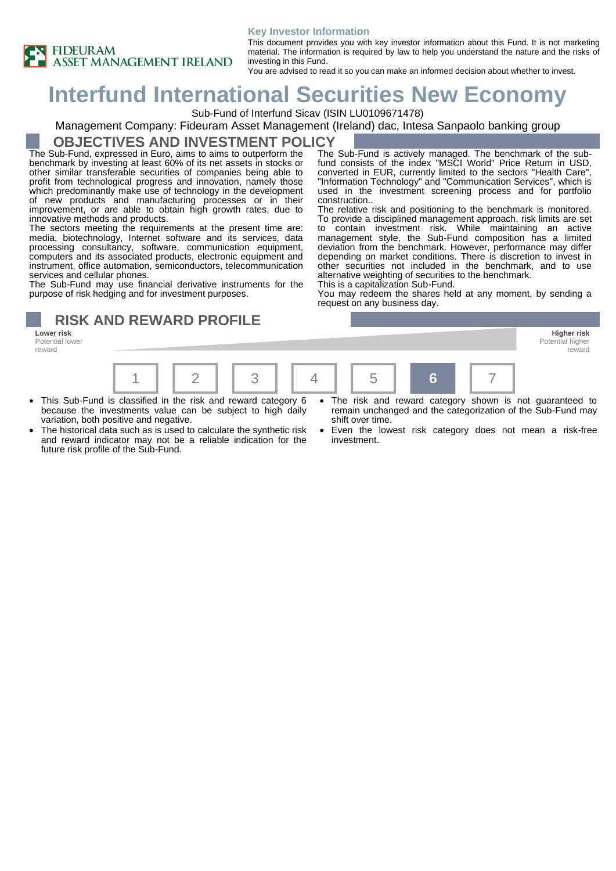#### **Key Investor Information**



This document provides you with key investor information about this Fund. It is not marketing material. The information is required by law to help you understand the nature and the risks of investing in this Fund. You are advised to read it so you can make an informed decision about whether to invest.

# **Interfund International Securities New Economy**

Sub-Fund of Interfund Sicav (ISIN LU0109671478)

### Management Company: Fideuram Asset Management (Ireland) dac, Intesa Sanpaolo banking group

### **OBJECTIVES AND INVESTMENT POLICY**

The Sub-Fund, expressed in Euro, aims to aims to outperform the benchmark by investing at least 60% of its net assets in stocks or other similar transferable securities of companies being able to profit from technological progress and innovation, namely those which predominantly make use of technology in the development of new products and manufacturing processes or in their improvement, or are able to obtain high growth rates, due to innovative methods and products.

The sectors meeting the requirements at the present time are: media, biotechnology, Internet software and its services, data processing consultancy, software, communication equipment, computers and its associated products, electronic equipment and instrument, office automation, semiconductors, telecommunication services and cellular phones.

The Sub-Fund may use financial derivative instruments for the purpose of risk hedging and for investment purposes.

## **RISK AND REWARD PROFILE**

**Lower risk Higher risk** Potential lower reward



- This Sub-Fund is classified in the risk and reward category 6 because the investments value can be subject to high daily variation, both positive and negative.
- The historical data such as is used to calculate the synthetic risk and reward indicator may not be a reliable indication for the future risk profile of the Sub-Fund.
- The risk and reward category shown is not guaranteed to remain unchanged and the categorization of the Sub-Fund may shift over time.

Potential higher reward

Even the lowest risk category does not mean a risk-free investment.



The relative risk and positioning to the benchmark is monitored. To provide a disciplined management approach, risk limits are set to contain investment risk. While maintaining an active management style, the Sub-Fund composition has a limited deviation from the benchmark. However, performance may differ depending on market conditions. There is discretion to invest in other securities not included in the benchmark, and to use alternative weighting of securities to the benchmark.

This is a capitalization Sub-Fund.

You may redeem the shares held at any moment, by sending a request on any business day.